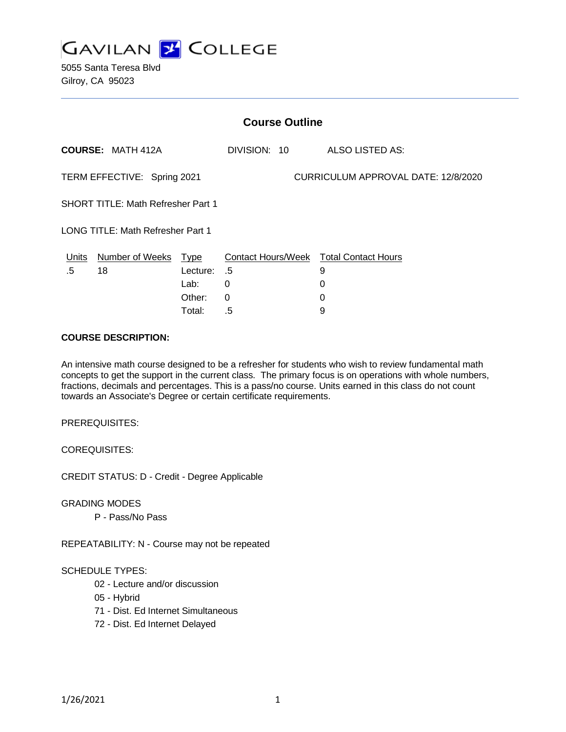

| <b>Course Outline</b>                     |                          |             |                                               |                 |
|-------------------------------------------|--------------------------|-------------|-----------------------------------------------|-----------------|
|                                           | <b>COURSE: MATH 412A</b> |             | DIVISION: 10                                  | ALSO LISTED AS: |
| TERM EFFECTIVE: Spring 2021               |                          |             | CURRICULUM APPROVAL DATE: 12/8/2020           |                 |
| <b>SHORT TITLE: Math Refresher Part 1</b> |                          |             |                                               |                 |
| <b>LONG TITLE: Math Refresher Part 1</b>  |                          |             |                                               |                 |
| <b>Units</b>                              | <b>Number of Weeks</b>   | <u>Type</u> | <b>Contact Hours/Week Total Contact Hours</b> |                 |
| .5                                        | 18                       | Lecture:    | .5                                            | 9               |
|                                           |                          | Lab:        | 0                                             | 0               |
|                                           |                          | Other:      | 0                                             | 0               |
|                                           |                          | Total:      | .5                                            | 9               |

#### **COURSE DESCRIPTION:**

An intensive math course designed to be a refresher for students who wish to review fundamental math concepts to get the support in the current class. The primary focus is on operations with whole numbers, fractions, decimals and percentages. This is a pass/no course. Units earned in this class do not count towards an Associate's Degree or certain certificate requirements.

PREREQUISITES:

COREQUISITES:

CREDIT STATUS: D - Credit - Degree Applicable

GRADING MODES

P - Pass/No Pass

REPEATABILITY: N - Course may not be repeated

#### SCHEDULE TYPES:

- 02 Lecture and/or discussion
- 05 Hybrid
- 71 Dist. Ed Internet Simultaneous
- 72 Dist. Ed Internet Delayed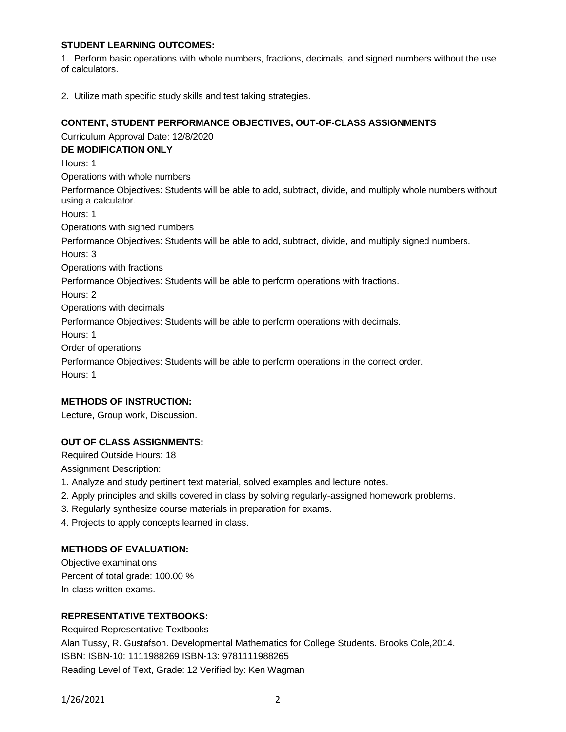# **STUDENT LEARNING OUTCOMES:**

1. Perform basic operations with whole numbers, fractions, decimals, and signed numbers without the use of calculators.

2. Utilize math specific study skills and test taking strategies.

### **CONTENT, STUDENT PERFORMANCE OBJECTIVES, OUT-OF-CLASS ASSIGNMENTS**

Curriculum Approval Date: 12/8/2020

**DE MODIFICATION ONLY** Hours: 1 Operations with whole numbers Performance Objectives: Students will be able to add, subtract, divide, and multiply whole numbers without using a calculator. Hours: 1 Operations with signed numbers Performance Objectives: Students will be able to add, subtract, divide, and multiply signed numbers. Hours: 3 Operations with fractions Performance Objectives: Students will be able to perform operations with fractions. Hours: 2 Operations with decimals Performance Objectives: Students will be able to perform operations with decimals. Hours: 1 Order of operations Performance Objectives: Students will be able to perform operations in the correct order. Hours: 1

# **METHODS OF INSTRUCTION:**

Lecture, Group work, Discussion.

#### **OUT OF CLASS ASSIGNMENTS:**

Required Outside Hours: 18

Assignment Description:

- 1. Analyze and study pertinent text material, solved examples and lecture notes.
- 2. Apply principles and skills covered in class by solving regularly-assigned homework problems.
- 3. Regularly synthesize course materials in preparation for exams.
- 4. Projects to apply concepts learned in class.

#### **METHODS OF EVALUATION:**

Objective examinations Percent of total grade: 100.00 % In-class written exams.

### **REPRESENTATIVE TEXTBOOKS:**

Required Representative Textbooks Alan Tussy, R. Gustafson. Developmental Mathematics for College Students. Brooks Cole,2014. ISBN: ISBN-10: 1111988269 ISBN-13: 9781111988265 Reading Level of Text, Grade: 12 Verified by: Ken Wagman